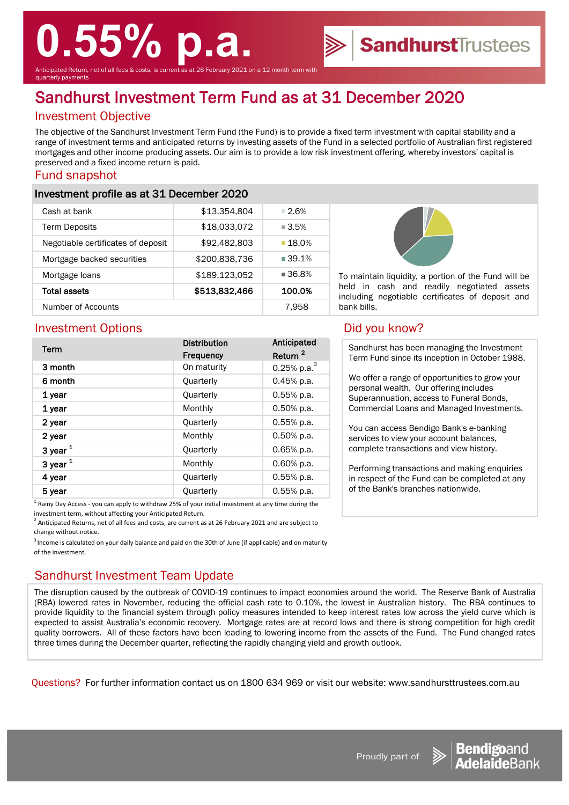# **0.55% p.a.**

Anticipated Return, net of all fees & costs, is current as at 26 February 2021 on a 12 month term with quarterly payments

## Sandhurst Investment Term Fund as at 31 December 2020

### Investment Objective

The objective of the Sandhurst Investment Term Fund (the Fund) is to provide a fixed term investment with capital stability and a range of investment terms and anticipated returns by investing assets of the Fund in a selected portfolio of Australian first registered mortgages and other income producing assets. Our aim is to provide a low risk investment offering, whereby investors' capital is preserved and a fixed income return is paid.

#### Fund snapshot

#### Investment profile as at 31 December 2020

| Cash at bank                       | \$13,354,804  | $-2.6%$              |
|------------------------------------|---------------|----------------------|
| <b>Term Deposits</b>               | \$18,033,072  | $\blacksquare$ 3.5%  |
| Negotiable certificates of deposit | \$92,482,803  | ■ 18.0%              |
| Mortgage backed securities         | \$200,838,736 | $\blacksquare$ 39.1% |
| Mortgage loans                     | \$189,123,052 | $\blacksquare$ 36.8% |
| <b>Total assets</b>                | \$513,832,466 | 100.0%               |
| Number of Accounts                 |               | 7.958                |



To maintain liquidity, a portion of the Fund will be held in cash and readily negotiated assets including negotiable certificates of deposit and bank bills.

**Sandhurst**Trustees

#### Investment Options **Did you know?**

| Term         | <b>Distribution</b><br><b>Frequency</b> | Anticipated<br>Return <sup>2</sup> |
|--------------|-----------------------------------------|------------------------------------|
| 3 month      | On maturity                             | 0.25% p.a. $3$                     |
| 6 month      | Quarterly                               | $0.45%$ p.a.                       |
| 1 year       | Quarterly                               | $0.55%$ p.a.                       |
| 1 year       | Monthly                                 | $0.50\%$ p.a.                      |
| 2 year       | Quarterly                               | 0.55% p.a.                         |
| 2 year       | Monthly                                 | $0.50%$ p.a.                       |
| $3$ year $1$ | <b>Quarterly</b>                        | 0.65% p.a.                         |
| $3$ year $1$ | Monthly                                 | 0.60% p.a.                         |
| 4 year       | Quarterly                               | 0.55% p.a.                         |
| 5 year       | Quarterly                               | 0.55% p.a.                         |

 $<sup>1</sup>$  Rainy Day Access - you can apply to withdraw 25% of your initial investment at any time during the</sup> investment term, without affecting your Anticipated Return.

 $^2$  Anticipated Returns, net of all fees and costs, are current as at 26 February 2021 and are subject to change without notice.

 $3$  Income is calculated on your daily balance and paid on the 30th of June (if applicable) and on maturity of the investment.

#### Sandhurst Investment Team Update

The disruption caused by the outbreak of COVID-19 continues to impact economies around the world. The Reserve Bank of Australia (RBA) lowered rates in November, reducing the official cash rate to 0.10%, the lowest in Australian history. The RBA continues to provide liquidity to the financial system through policy measures intended to keep interest rates low across the yield curve which is expected to assist Australia's economic recovery. Mortgage rates are at record lows and there is strong competition for high credit quality borrowers. All of these factors have been leading to lowering income from the assets of the Fund. The Fund changed rates three times during the December quarter, reflecting the rapidly changing yield and growth outlook.

Questions? For further information contact us on 1800 634 969 or visit our website: www.sandhursttrustees.com.au

Sandhurst has been managing the Investment Term Fund since its inception in October 1988.

We offer a range of opportunities to grow your personal wealth. Our offering includes Superannuation, access to Funeral Bonds, Commercial Loans and Managed Investments.

You can access Bendigo Bank's e-banking services to view your account balances, complete transactions and view history.

Performing transactions and making enquiries in respect of the Fund can be completed at any of the Bank's branches nationwide.





Proudly part of